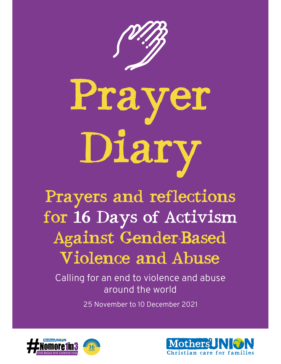

Prayer Diary

# Prayers and reflections for 16 Days of Activism Against Gender-Based Violence and Abuse

Calling for an end to violence and abuse around the world

25 November to 10 December 2021



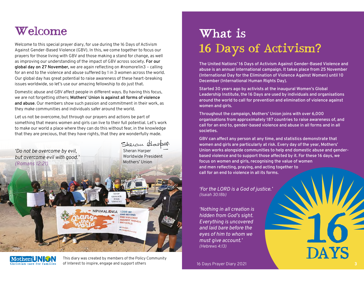# Welcome

Welcome to this special prayer diary, for use during the 16 Days of Activism Against Gender-Based Violence (GBV). In this, we come together to focus our prayers for those living with GBV and those making a stand for change, as well as improving our understanding of the impact of GBV across society. **For our global day on 27 November,** we are again refecting on #nomore1in3 – calling for an end to the violence and abuse suffered by 1 in 3 women across the world. Our global day has great potential to raise awareness of these heart-breaking issues worldwide, so let's use our amazing fellowship to do just that.

Domestic abuse and GBV affect people in different ways. By having this focus, we are not forgetting others; **Mothers' Union is against all forms of violence and abuse**. Our members show such passion and commitment in their work, as they make communities and individuals safer around the world.

Let us not be overcome, but through our prayers and actions be part of something that means women and girls can live to their full potential. Let's work to make our world a place where they can do this without fear, in the knowledge that they are precious, that they have rights, that they are wonderfully made.





This diary was created by members of the Policy Community of Interest to inspire, engage and support others 16 Days Prayer Diary 2021

# What is 16 Days of Activism ?

The United Nations' 16 Days of Activism Against Gender-Based Violence and abuse is an annual international campaign. It takes place from 25 November (International Day for the Elimination of Violence Against Women) until 10 December (International Human Rights Day).

Started 30 years ago by activists at the inaugural Women's Global Leadership Institute, the 16 Days are used by individuals and organisations around the world to call for prevention and elimination of violence against women and girls.

Throughout the campaign, Mothers' Union joins with over 6,000 organisations from approximately 187 countries to raise awareness of, and call for an end to, gender-based violence and abuse in all forms and in all societies.

GBV can affect any person at any time, and statistics demonstrate that women and girls are particularly at risk. Every day of the year, Mothers' Union works alongside communities to help end domestic abuse and genderbased violence and to support those affected by it. For these 16 days, we focus on women and girls, recognising the value of women and men refecting, praying, and acting together to call for an end to violence in all its forms.

*'For the LORD is a God of justice.' (Isaiah 30:18b)*

*'Nothing in all creation is hidden from God's sight. Everything is uncovered and laid bare before the eyes of him to whom we must give account.' (Hebrews 4:13)*

**DAYS**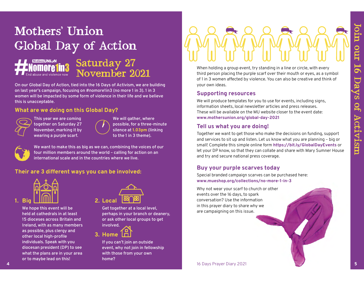# Mothers' Union Global Day of Action



# Saturday 27 November 2021

On our Global Day of Action, tied into the 16 Days of Activism, we are building on last year's campaign, focusing on #nomore1in3 (no more 1 in 3). 1 in 3 women will be impacted by some form of violence in their life and we believe this is unacceptable.



This year we are coming together on Saturday 27 November, marking it by wearing a purple scarf.

We will gather, where possible, for a three-minute silence at **1.03pm** (linking to the 1 in 3 theme).



We want to make this as big as we can, combining the voices of our four million members around the world – calling for action on an international scale and in the countries where we live.

# **Their are 3 different ways you can be involved:**



We hope this event will be held at cathedrals in at least 15 dioceses across Britain and Ireland, with as many members as possible, plus clergy and other local high-profle individuals. Speak with you diocesan president (DP) to see what the plans are in your area or to maybe lead on this!



Get together at a local level, perhaps in your branch or deanery, or ask other local groups to get involved.



If you can't join an outside event, why not join in fellowship with those from your own home?

# **Join of the School Day of Action are the School Day of Action are the School Day of Action Saturday 27<br>
The Communication of the School Day of Action the Gross of Activism, we are building<br>
What we do the stress are signa**

When holding a group event, try standing in a line or circle, with every third person placing the purple scarf over their mouth or eyes, as a symbol of 1 in 3 women affected by violence. You can also be creative and think of your own ideas.

### **Supporting resources**

We will produce templates for you to use for events, including signs, information sheets, local newsletter articles and press releases. These will be available on the MU website closer to the event date: **www.mothersunion.org/global-day-2021**

# **Tell us what you are doing!**

Together we want to get those who make the decisions on funding, support and services to sit up and listen. Let us know what you are planning – big or small! Complete this simple online form **https://bit.ly/GlobalDayEvents** or let your DP know, so that they can collate and share with Mary Sumner House and try and secure national press coverage.

# **Buy your purple scarves today**

Special branded campaign scarves can be purchased here: **www.mueshop.org/collections/no-more-1-in-3**

Why not wear your scarf to church or other events over the 16 days, to spark conversation? Use the information in this prayer diary to share why we are campaigning on this issue.

**4** 16 Days Prayer Diary 2021 16 Days Prayer Diary 2021 **5**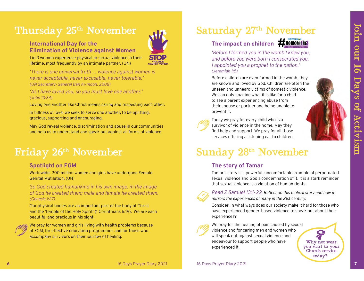# Thursday 25<sup>th</sup> November

### **International Day for the Elimination of Violence against Women**



1 in 3 women experience physical or sexual violence in their lifetime, most frequently by an intimate partner. (UN)

*'There is one universal truth … violence against women is never acceptable, never excusable, never tolerable.' (UN Secretary-General Ban Ki-moon, 2008)*

*'As I have loved you, so you must love one another.' (John 13:34)*

Loving one another like Christ means caring and respecting each other.

In fullness of love, we seek to serve one another, to be uplifting, gracious, supporting and encouraging.

May God reveal violence, discrimination and abuse in our communities and help us to understand and speak out against all forms of violence.

# Friday 26th November

### **Spotlight on FGM**

Worldwide, 200 million women and girls have undergone Female Genital Mutilation. (UN)

*So God created humankind in his own image, in the image of God he created them; male and female he created them. (Genesis 1:27)*

Our physical bodies are an important part of the body of Christ and the 'temple of the Holy Spirit' (1 Corinthians 6:19). We are each beautiful and precious in his sight.



We pray for women and girls living with health problems because of FGM, for effective education programmes and for those who accompany survivors on their journey of healing.

# Saturday 27<sup>th</sup> November

# The impact on children **#Momore1in3**



*'Before I formed you in the womb I knew you, and before you were born I consecrated you, I appointed you a prophet to the nation.' (Jeremiah 1:5)*

Before children are even formed in the womb, they are known and loved by God. Children are often the unseen and unheard victims of domestic violence. We can only imagine what it is like for a child to see a parent experiencing abuse from their spouse or partner and being unable to prevent it.



Today we pray for every child who is a survivor of violence in the home. May they find help and support. We pray for all those services offering a listening ear to children.



# **The story of Tamar**

Tamar's story is a powerful, uncomfortable example of perpetuated sexual violence and God's condemnation of it. It is a stark reminder that sexual violence is a violation of human rights.



*Read 2 Samuel 13:1-22. Refect on this biblical story and how it mirrors the experiences of many in the 21st century.* 

Consider: in what ways does our society make it hard for those who have experienced gender-based violence to speak out about their experiences?



We pray for the healing of pain caused by sexual violence and for caring men and women who will speak out against sexual violence and endeavour to support people who have experienced it.

Why not wear you scarf to your Church service today**?**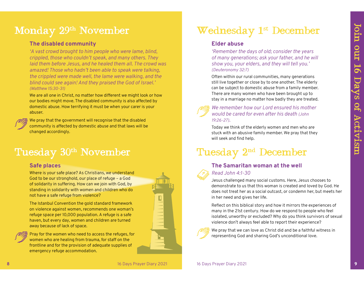# Monday 29<sup>th</sup> November

### **The disabled community**

*'A vast crowd brought to him people who were lame, blind, crippled, those who couldn't speak, and many others. They laid them before Jesus, and he healed them all. The crowd was amazed! Those who hadn't been able to speak were talking, the crippled were made well, the lame were walking, and the blind could see again! And they praised the God of Israel.' (Matthew 15:30-31)*  **Monday 29th November The disabled community**<br>
The disabled community<br>  $\pi$  vest crowd brought to him people who were lame, blind,<br>  $\pi$  is the tractivism of the state of activities of the crippled were made well, and the

We are all one in Christ, no matter how different we might look or how our bodies might move. The disabled community is also affected by domestic abuse. How terrifying it must be when your carer is your abuser.

We pray that the government will recognise that the disabled community is affected by domestic abuse and that laws will be changed accordingly.

### **Safe places**

Where is your safe place? As Christians, we understand God to be our stronghold, our place of refuge – a God of solidarity in suffering. How can we join with God, by standing in solidarity with women and children who do not have a safe refuge from violence?

The Istanbul Convention the gold standard framework on violence against women, recommends one woman's refuge space per 10,000 population. A refuge is a safe haven, but every day, women and children are turned away because of lack of space.



Pray for the women who need to access the refuges, for women who are healing from trauma, for staff on the frontline and for the provision of adequate supplies of emergency refuge accommodation.

# Wednesday 1<sup>st</sup> December

### **Elder abuse**

*'Remember the days of old; consider the years of many generations; ask your father, and he will show you, your elders, and they will tell you.' (Deuteronomy 32:7)*

Often within our rural communities, many generations still live together or close by to one another. The elderly can be subject to domestic abuse from a family member. There are many women who have been brought up to stay in a marriage no matter how badly they are treated.

### *We remember how our Lord ensured his mother would be cared for even after his death (John 19:26-27).*

Today we think of the elderly women and men who are stuck with an abusive family member. We pray that they will seek and find help.

# Tuesday 2<sup>nd</sup> December

# **The Samaritan woman at the well**

*Read John 4:1-30*

Jesus challenged many social customs. Here, Jesus chooses to demonstrate to us that this woman is created and loved by God. He does not treat her as a social outcast, or condemn her, but meets her in her need and gives her life.

Reflect on this biblical story and how it mirrors the experiences of many in the 21st century. How do we respond to people who feel isolated, unworthy or excluded? Why do you think survivors of sexual violence don't always feel able to report their experience?



We pray that we can love as Christ did and be a faithful witness in representing God and sharing God's unconditional love.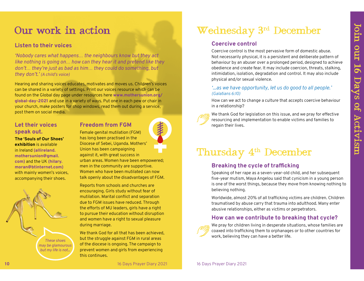Our work in action<br>
"Wednesday 3rd December<br>
"Nobody cares what happens... the neighbours know but they act<br>
"Nobody cares what happens... the neighbours know but they act<br>
like nothing is going on... how can they hear it

# **Let their voices speak out.**

**The 'Souls of Our Shoes' exhibition** is available

in Ireland **(allireland. mothersunion@gmail. com)** and the UK **(hilary. moran@btinternet.com)** with mainly women's voices, accompanying their shoes.



# **Freedom from FGM**

Female genital mutilation (FGM) has long been practised in the Diocese of Sebei, Uganda. Mothers' Union has been campaigning against it, with great success in urban areas. Women have been empowered; men in the community are supportive. Women who have been mutilated can now talk openly about the disadvantages of FGM.

Reports from schools and churches are encouraging. Girls study without fear of mutilation. Marital confict and separation due to FGM issues have reduced. Through the efforts of MU leaders, girls have a right to pursue their education without disruption and women have a right to sexual pleasure during marriage.

We thank God for all that has been achieved. but the struggle against FGM in rural areas of the diocese is ongoing. The campaign to prevent women and girls from experiencing this continues.

# Our work in action Wednesday 3rd December

# **Coercive control**

Coercive control is the most pervasive form of domestic abuse. Not necessarily physical, it is a persistent and deliberate pattern of behaviour by an abuser over a prolonged period, designed to achieve obedience and create fear. It may include coercion, threats, stalking, intimidation, isolation, degradation and control. It may also include physical and/or sexual violence.

### *'...as we have opportunity, let us do good to all people.' (Galatians 6:10)*

How can we act to change a culture that accepts coercive behaviour in a relationship?

We thank God for legislation on this issue, and we pray for effective resourcing and implementation to enable victims and families to regain their lives.

# Thursday 4<sup>th</sup> December

# **Breaking the cycle of trafficking**

Speaking of her rape as a seven-year-old child, and her subsequent five-year mutism, Maya Angelou said that cynicism in a young person is one of the worst things, because they move from knowing nothing to believing nothing.

Worldwide, almost 20% of all trafficking victims are children. Children traumatised by abuse carry that trauma into adulthood. Many enter abusive relationships, either as victims or perpetrators.

# **How can we contribute to breaking that cycle?**



We pray for children living in desperate situations, whose families are coaxed into trafficking them to orphanages or to other countries for work, believing they can have a better life.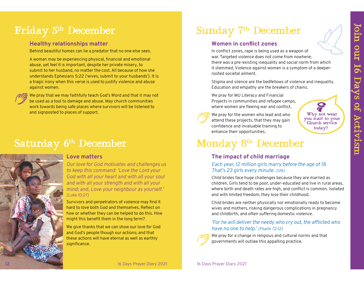# Friday 5th December

# **Healthy relationships matter**

Behind beautiful homes can lie a predator that no one else sees.

A woman may be experiencing physical, fnancial and emotional abuse, yet feel it is important, despite her private misery, to submit to her husband, no matter the cost. All because of how she understands Ephesians 5:22 ('wives, submit to your husbands'). It is a tragic irony when this verse is used to justify violence and abuse against women. **Finday 5<sup>ch</sup> December**  $\frac{1}{2}$  **Healthy relationships matter Women in conflict zones**<br>
Exambelevativism scarce is experienced as a weapon of the service tower and the principal preced at the principal properties of the

We pray that we may faithfully teach God's Word and that it may not be used as a tool to damage and abuse. May church communities work towards being safe places where survivors will be listened to and signposted to places of support.

*Our love for God motivates and challenges us to keep this command: 'Love the Lord your God with all your heart and with all your soul and with all your strength and with all your mind; and, Love your neighbour as yourself.' (Luke 10:27)* 

Survivors and perpetrators of violence may find it hard to love both God and themselves. Reflect on how or whether they can be helped to do this. How might this benefit them in the long term?

We give thanks that we can show our love for God and God's people though our actions; and that these actions will have eternal as well as earthly significance.

# Sunday 7<sup>th</sup> December

# **Women in confict zones**

In confict zones, rape is being used as a weapon of war. Targeted violence does not come from nowhere; there was a pre-existing inequality and social norm from which it stemmed. Violence against women is a symptom of a deeperrooted societal ailment.

Stigma and silence are the bedfellows of violence and inequality. Education and empathy are the breakers of chains.

We pray for MU Literacy and Financial Projects in communities and refugee camps, where women are fleeing war and conflict.



We pray for the women who lead and who attend these projects, that they may gain confidence and invaluable training to

# Monday 8<sup>th</sup> December

enhance their opportunities.

# **The impact of child marriage**

### *Each year, 12 million girls marry before the age of 18. That's 23 girls every minute. (UN)*

Child brides face huge challenges because they are married as children. Girls tend to be poor, under-educated and live in rural areas, where birth and death rates are high, and confict is common. Isolated and with limited freedom, they lose their childhood.

Child brides are neither physically nor emotionally ready to become wives and mothers, risking dangerous complications in pregnancy and childbirth, and often suffering domestic violence.

### *'For he will deliver the needy who cry out, the afficted who have no one to help.' (Psalm 72:12)*



We pray for a change in religious and cultural norms and that governments will outlaw this appalling practice.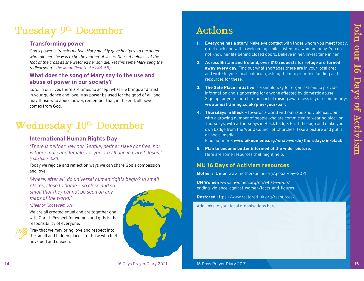# Tuesday 9<sup>th</sup> December

### **Transforming power**

*God's power is transformative. Mary meekly gave her 'yes' to the angel who told her she was to be the mother of Jesus. She sat helpless at the foot of the cross as she watched her son die. Yet this same Mary sang the radical song – the Magnifcat (Luke 1:46-55).*

### **What does the song of Mary say to the use and abuse of power in our society?**

Lord, in our lives there are times to accept what life brings and trust in your guidance and love. May power be used for the good of all, and may those who abuse power, remember that, in the end, all power comes from God.

# Wednesday 10<sup>th</sup> December

# **International Human Rights Day**

*'There is neither Jew nor Gentile, neither slave nor free, nor is there male and female, for you are all one in Christ Jesus.' (Galatians 3:28)*

Today we rejoice and reflect on ways we can share God's compassion and love.

*'Where, after all, do universal human rights begin? In small places, close to home – so close and so small that they cannot be seen on any maps of the world.'* 

### *(Eleanor Roosevelt, UN)*

We are all created equal and are together one with Christ. Respect for women and girls is the responsibility of everyone.

Pray that we may bring love and respect into the small and hidden places, to those who feel unvalued and unseen.



- 
- 
- 
- **Actions**<br>
1. **Everyone has a story**. Make eye contact with those whom you meet today,<br>
greet each one with a welcoming smile. Listen to a woman today, You do<br>
not known her life behind closed doors. Believe in her, invest

# **MU 16 Days of Activism resources**

**Mothers' Union** www.mothersunion.org/global-day-2021

**UN Women** www.unwomen.org/en/what-we-do/ ending-violence-against-women/facts-and-figures

**Restored** https://www.restored-uk.org/resources/

Add links to your local organisations here: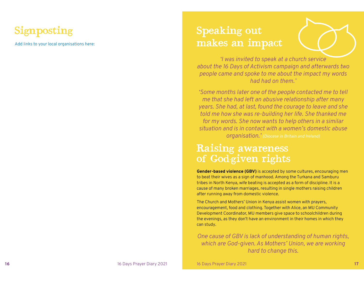# Signposting

Add links to your local organisations here:

# Speaking out makes an impact

*'I was invited to speak at a church service about the 16 Days of Activism campaign and afterwards two people came and spoke to me about the impact my words had had on them.'* 

*'Some months later one of the people contacted me to tell me that she had left an abusive relationship after many years. She had, at last, found the courage to leave and she told me how she was re-building her life. She thanked me for my words. She now wants to help others in a similar situation and is in contact with a women's domestic abuse organisation.' (Diocese in Britain and Ireland)*

# Raising awareness of God-given rights

**Gender-based violence (GBV)** is accepted by some cultures, encouraging men to beat their wives as a sign of manhood. Among the Turkana and Samburu tribes in North Kenya, wife beating is accepted as a form of discipline. It is a cause of many broken marriages, resulting in single mothers raising children after running away from domestic violence.

The Church and Mothers' Union in Kenya assist women with prayers, encouragement, food and clothing. Together with Alice, an MU Community Development Coordinator, MU members give space to schoolchildren during the evenings, as they don't have an environment in their homes in which they can study.

*One cause of GBV is lack of understanding of human rights, which are God-given. As Mothers' Union, we are working hard to change this.*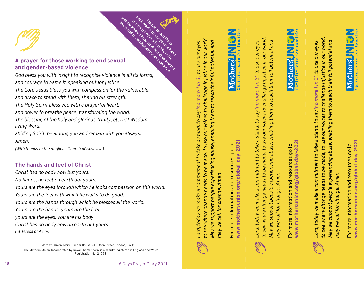

# **A prayer for those working to end sexual**<br> **A prayer for those working to end sexual**<br>
God bless vou with insight to recognise violence **and gender-based violence she with others to the world to combat abuse and violence**<br>the world to continue and violence<br>of the work Mu does and violence<br>of the work more and violence

*God bless you with insight to recognise violence in all its forms, and courage to name it, speaking out for justice. The Lord Jesus bless you with compassion for the vulnerable, and grace to stand with them, sharing his strength. The Holy Spirit bless you with a prayerful heart, and power to breathe peace, transforming the world. The blessing of the holy and glorious Trinity, eternal Wisdom, living Word, abiding Spirit, be among you and remain with you always. Amen.* 

*(With thanks to the Anglican Church of Australia)*

# **The hands and feet of Christ**

*Christ has no body now but yours.* 

*No hands, no feet on earth but yours.* 

*Yours are the eyes through which he looks compassion on this world.* 

*Yours are the feet with which he walks to do good.* 

*Yours are the hands through which he blesses all the world.* 

*Yours are the hands, yours are the feet,* 

*yours are the eyes, you are his body.* 

*Christ has no body now on earth but yours.*

*(St Teresa of Avila)*

Mothers' Union, Mary Sumner House, 24 Tufton Street, London, SW1P 3RB The Mothers' Union, Incorporated by Royal Charter 1926, is a charity registered in England and Wales (Registration No: 240531)

*to see where change needs to be made, to use our voices to challenge injustice in our world.*  to see where change needs to be made, to use our voices to challenge injustice in our world. *May we support people experiencing abuse, enabling them to reach their full potential and*  May we support people experiencing abuse, enabling them to reach their full potential and *Lord, today we make a commitment to take a stand: to say 'no more 1 in 3', to use our eyes*  Lord, today we make a commitment to take a stand: to say 'no more 1 in 3', to use our eyes may we call for change. Amen *may we call for change. Amen*

www.mothersunion.org/global-day-2021 **www.mothersunion.org/global-day-2021** For more information and resources go to For more information and resources go to





*to see where change needs to be made, to use our voices to challenge injustice in our world.*  o see where change needs to be made, to use our voices to challenge injustice in our world. May we support people experiencing abuse, enabling them to reach their full potential and *May we support people experiencing abuse, enabling them to reach their full potential and*  Lord, today we make a commitment to take a stand: to say 'no more 1 in 3', to use our eyes *Lord, today we make a commitment to take a stand: to say 'no more 1 in 3', to use our eyes*  may we call for change. Amen *may we call for change. Amen*

www.mothersunion.org/global-day-2021 **www.mothersunion.org/global-day-2021** For more information and resources go to For more information and resources go to





www.mothersunion.org/global-day-2021 **www.mothersunion.org/global-day-2021** For more information and resources go to For more information and resources go to



**Please detach these book marks to use yourself and**